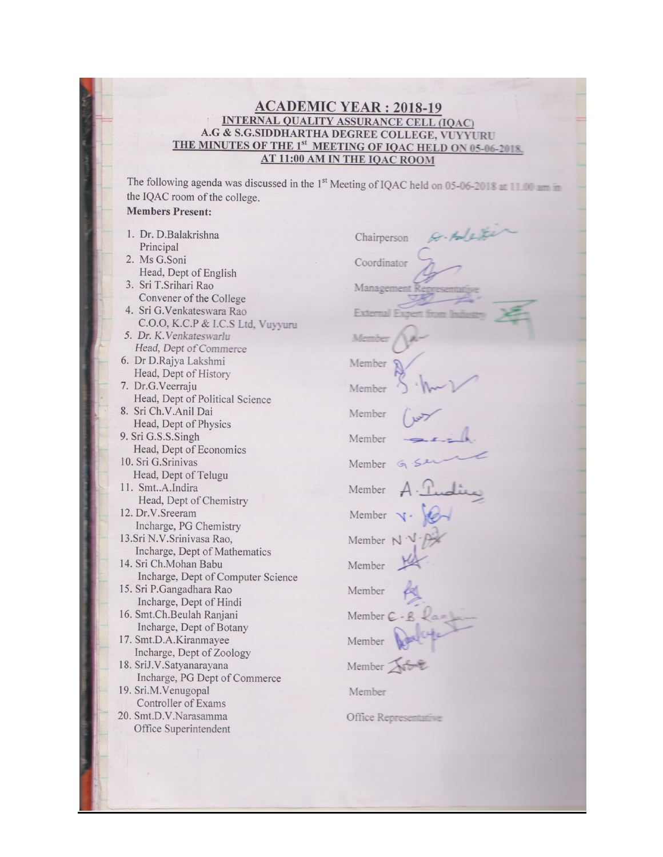# $\frac{\text{ACADEMIC YEAR}: 2018-19}{\text{A.G & S.G.SIDDHARTHA DEGREE COLLEGE, VUYYURU}} \text{A.G} \times \text{S.G.SIDDHARTHA DEGREE COLLEGE, VUYYURU} {\text{THE MINUTES OF THE 1$^st} \text{ MEETING OF IQAC HELD ON 05-06-2018}} {\text{AT 11:00 AM IN THE IQAC Room}}$

The following agenda was discussed in the 1<sup>st</sup> Meeting of IQAC held on 05-06-2018 at 11.00 am in the IQAC room of the college.

## **Members Present:**

| I. Dr. D.Balakrishna               | Chai   |
|------------------------------------|--------|
| Principal                          |        |
| 2. Ms G.Soni                       | Coor   |
| Head, Dept of English              |        |
| 3. Sri T.Srihari Rao               | Mana   |
| Convener of the College            |        |
| 4. Sri G.Venkateswara Rao          | Fater  |
| C.O.O, K.C.P & I.C.S Ltd, Vuyyuru  |        |
| 5. Dr. K. Venkateswarlu            | Memi   |
| Head, Dept of Commerce             |        |
| 6. Dr D.Rajya Lakshmi              | Memb   |
| Head, Dept of History              |        |
| 7. Dr.G.Veerraju                   | Memb   |
| Head, Dept of Political Science    |        |
| 8. Sri Ch.V.Anil Dai               | Memb   |
| Head, Dept of Physics              |        |
| 9. Sri G.S.S.Singh                 | Memb   |
| Head, Dept of Economics            |        |
| 10. Sri G. Srinivas                | Memb   |
| Head, Dept of Telugu               |        |
| 11. SmtA.Indira                    | Memb   |
| Head, Dept of Chemistry            |        |
| 12. Dr.V.Sreeram                   | Memb   |
| Incharge, PG Chemistry             |        |
| 13.Sri N.V.Srinivasa Rao,          | Memb   |
| Incharge, Dept of Mathematics      |        |
| 14. Sri Ch.Mohan Babu              | Memb   |
| Incharge, Dept of Computer Science |        |
| 15. Sri P.Gangadhara Rao           | Memb   |
| Incharge, Dept of Hindi            |        |
| 16. Smt.Ch.Beulah Ranjani          | Memb   |
| Incharge, Dept of Botany           |        |
| 17. Smt.D.A.Kiranmayee             | Memb   |
| Incharge, Dept of Zoology          |        |
| 18. SriJ.V.Satyanarayana           | Memb   |
| Incharge, PG Dept of Commerce      |        |
| 19. Sri.M.Venugopal                | Memb   |
| Controller of Exams                |        |
| 20. Smt.D.V.Narasamma              | Office |
| Office Superintendent              |        |
|                                    |        |

| $H_0(x)$<br>Chairperson   |
|---------------------------|
| Coordinator               |
| Managen                   |
| Externa                   |
| Membe                     |
| Member                    |
| Member                    |
| Member                    |
| Member                    |
| Member G                  |
| Member $A \cdot \Omega$   |
| Member v.                 |
| Member $N \sqrt{N}$       |
| $\underline{W}$<br>Member |
| Member                    |
| Member C - B              |
| Member Adult              |
| Member Afric              |
| Member                    |
| $\bigcap_{i=1}^{\infty}$  |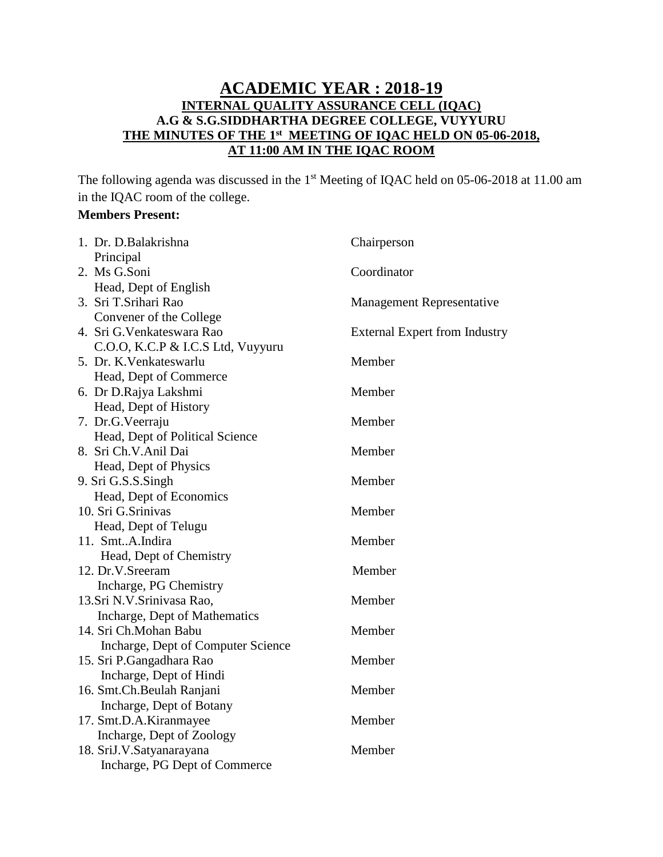## **ACADEMIC YEAR : 2018-19 INTERNAL QUALITY ASSURANCE CELL (IQAC) A.G & S.G.SIDDHARTHA DEGREE COLLEGE, VUYYURU THE MINUTES OF THE 1 st MEETING OF IQAC HELD ON 05-06-2018, AT 11:00 AM IN THE IQAC ROOM**

The following agenda was discussed in the 1<sup>st</sup> Meeting of IQAC held on 05-06-2018 at 11.00 am in the IQAC room of the college.

## **Members Present:**

| 1. Dr. D.Balakrishna               | Chairperson                          |
|------------------------------------|--------------------------------------|
| Principal                          |                                      |
| 2. Ms G.Soni                       | Coordinator                          |
| Head, Dept of English              |                                      |
| 3. Sri T.Srihari Rao               | <b>Management Representative</b>     |
| Convener of the College            |                                      |
| 4. Sri G. Venkateswara Rao         | <b>External Expert from Industry</b> |
| C.O.O, K.C.P & I.C.S Ltd, Vuyyuru  |                                      |
| 5. Dr. K. Venkateswarlu            | Member                               |
| Head, Dept of Commerce             |                                      |
| 6. Dr D.Rajya Lakshmi              | Member                               |
| Head, Dept of History              |                                      |
| 7. Dr.G.Veerraju                   | Member                               |
| Head, Dept of Political Science    |                                      |
| 8. Sri Ch.V.Anil Dai               | Member                               |
| Head, Dept of Physics              |                                      |
| 9. Sri G.S.S.Singh                 | Member                               |
| Head, Dept of Economics            |                                      |
| 10. Sri G.Srinivas                 | Member                               |
| Head, Dept of Telugu               |                                      |
| 11. SmtA.Indira                    | Member                               |
| Head, Dept of Chemistry            |                                      |
| 12. Dr.V.Sreeram                   | Member                               |
| Incharge, PG Chemistry             |                                      |
| 13.Sri N.V.Srinivasa Rao,          | Member                               |
| Incharge, Dept of Mathematics      |                                      |
| 14. Sri Ch.Mohan Babu              | Member                               |
| Incharge, Dept of Computer Science |                                      |
| 15. Sri P.Gangadhara Rao           | Member                               |
| Incharge, Dept of Hindi            |                                      |
| 16. Smt.Ch.Beulah Ranjani          | Member                               |
| Incharge, Dept of Botany           |                                      |
| 17. Smt.D.A.Kiranmayee             | Member                               |
| Incharge, Dept of Zoology          |                                      |
| 18. SriJ.V.Satyanarayana           | Member                               |
| Incharge, PG Dept of Commerce      |                                      |
|                                    |                                      |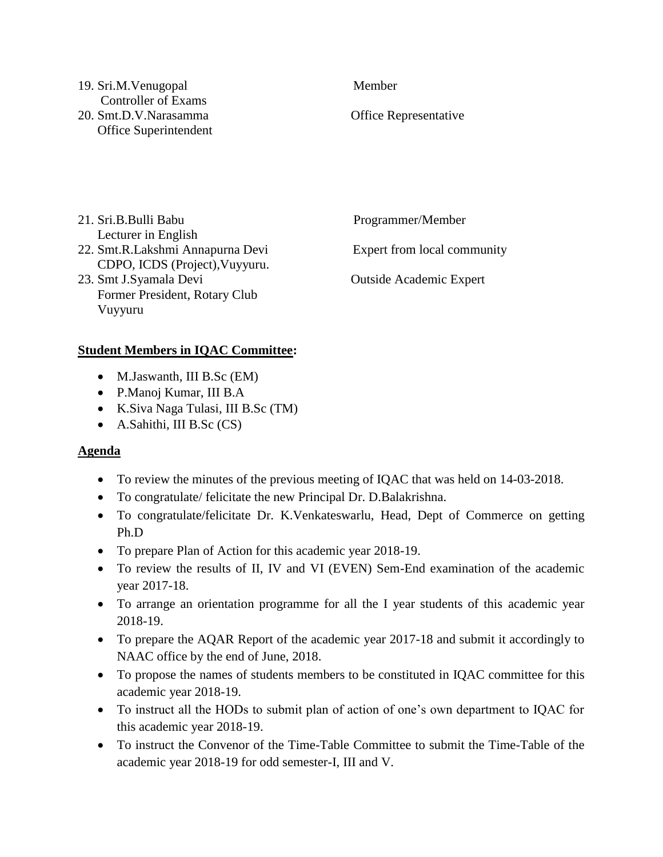### 19. Sri.M.Venugopal Member Controller of Exams 20. Smt.D.V.Narasamma Office Representative Office Superintendent

| 21. Sri.B.Bulli Babu             | Programmer/Member              |
|----------------------------------|--------------------------------|
| Lecturer in English              |                                |
| 22. Smt.R.Lakshmi Annapurna Devi | Expert from local community    |
| CDPO, ICDS (Project), Vuyyuru.   |                                |
| 23. Smt J.Syamala Devi           | <b>Outside Academic Expert</b> |
| Former President, Rotary Club    |                                |
| Vuyyuru                          |                                |

## **Student Members in IQAC Committee:**

- M.Jaswanth, III B.Sc (EM)
- P.Manoj Kumar, III B.A
- K.Siva Naga Tulasi, III B.Sc (TM)
- A.Sahithi, III B.Sc (CS)

## **Agenda**

- To review the minutes of the previous meeting of IQAC that was held on 14-03-2018.
- To congratulate/ felicitate the new Principal Dr. D.Balakrishna.
- To congratulate/felicitate Dr. K.Venkateswarlu, Head, Dept of Commerce on getting Ph.D
- To prepare Plan of Action for this academic year 2018-19.
- To review the results of II, IV and VI (EVEN) Sem-End examination of the academic year 2017-18.
- To arrange an orientation programme for all the I year students of this academic year 2018-19.
- To prepare the AQAR Report of the academic year 2017-18 and submit it accordingly to NAAC office by the end of June, 2018.
- To propose the names of students members to be constituted in IQAC committee for this academic year 2018-19.
- To instruct all the HODs to submit plan of action of one's own department to IQAC for this academic year 2018-19.
- To instruct the Convenor of the Time-Table Committee to submit the Time-Table of the academic year 2018-19 for odd semester-I, III and V.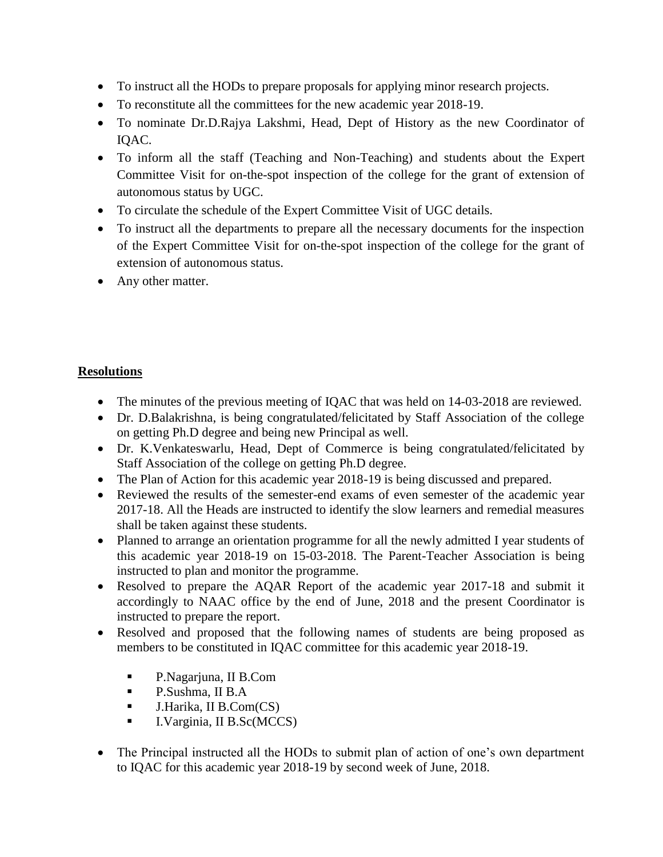- To instruct all the HODs to prepare proposals for applying minor research projects.
- To reconstitute all the committees for the new academic year 2018-19.
- To nominate Dr.D.Rajya Lakshmi, Head, Dept of History as the new Coordinator of IQAC.
- To inform all the staff (Teaching and Non-Teaching) and students about the Expert Committee Visit for on-the-spot inspection of the college for the grant of extension of autonomous status by UGC.
- To circulate the schedule of the Expert Committee Visit of UGC details.
- To instruct all the departments to prepare all the necessary documents for the inspection of the Expert Committee Visit for on-the-spot inspection of the college for the grant of extension of autonomous status.
- Any other matter.

# **Resolutions**

- The minutes of the previous meeting of IQAC that was held on 14-03-2018 are reviewed.
- Dr. D.Balakrishna, is being congratulated/felicitated by Staff Association of the college on getting Ph.D degree and being new Principal as well.
- Dr. K.Venkateswarlu, Head, Dept of Commerce is being congratulated/felicitated by Staff Association of the college on getting Ph.D degree.
- The Plan of Action for this academic year 2018-19 is being discussed and prepared.
- Reviewed the results of the semester-end exams of even semester of the academic year 2017-18. All the Heads are instructed to identify the slow learners and remedial measures shall be taken against these students.
- Planned to arrange an orientation programme for all the newly admitted I year students of this academic year 2018-19 on 15-03-2018. The Parent-Teacher Association is being instructed to plan and monitor the programme.
- Resolved to prepare the AQAR Report of the academic year 2017-18 and submit it accordingly to NAAC office by the end of June, 2018 and the present Coordinator is instructed to prepare the report.
- Resolved and proposed that the following names of students are being proposed as members to be constituted in IQAC committee for this academic year 2018-19.
	- P.Nagarjuna, II B.Com
	- **P.Sushma, II B.A**
	- $\blacksquare$  J.Harika, II B.Com(CS)
	- **I.** I. Varginia, II B. Sc(MCCS)
- The Principal instructed all the HODs to submit plan of action of one's own department to IQAC for this academic year 2018-19 by second week of June, 2018.